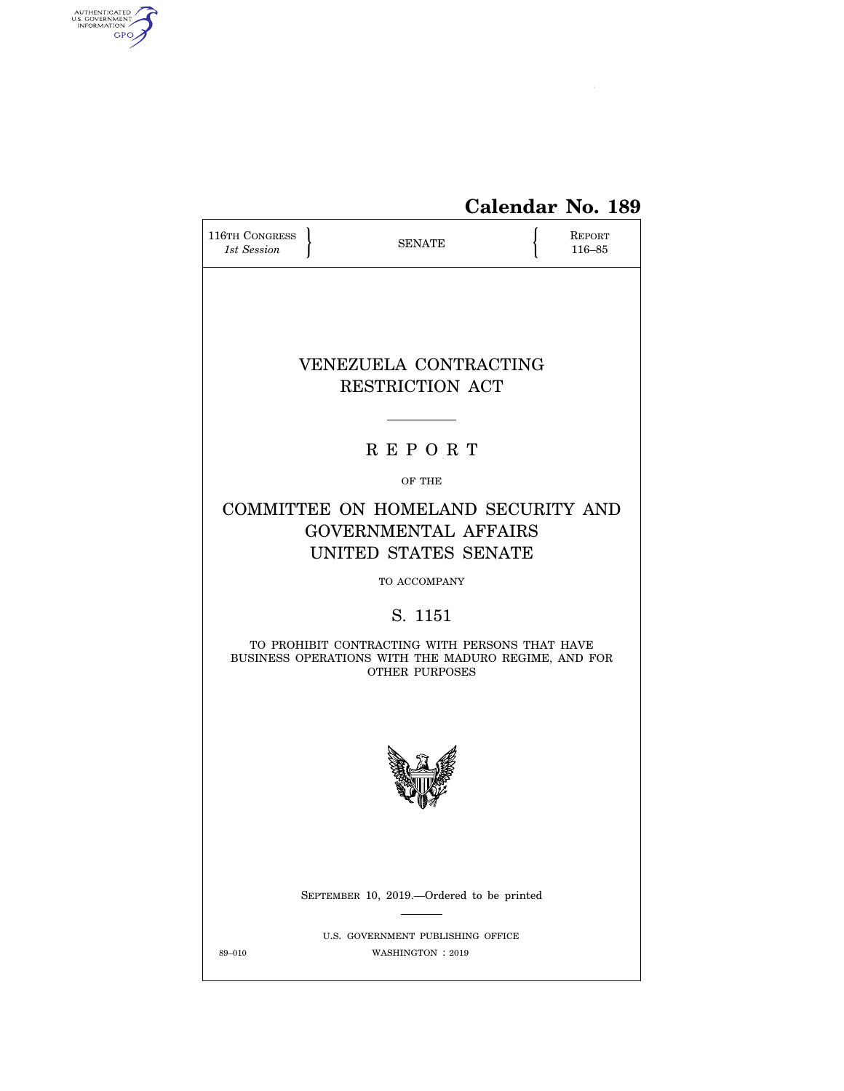

# **Calendar No. 189**

| <b>116TH CONGRESS</b><br>1st Session | <b>SENATE</b>                                                                                                                  | REPORT<br>116-85 |
|--------------------------------------|--------------------------------------------------------------------------------------------------------------------------------|------------------|
|                                      | VENEZUELA CONTRACTING<br>RESTRICTION ACT                                                                                       |                  |
|                                      |                                                                                                                                |                  |
|                                      | <b>REPORT</b>                                                                                                                  |                  |
|                                      | OF THE                                                                                                                         |                  |
|                                      | COMMITTEE ON HOMELAND SECURITY AND<br><b>GOVERNMENTAL AFFAIRS</b><br>UNITED STATES SENATE                                      |                  |
|                                      | TO ACCOMPANY                                                                                                                   |                  |
|                                      | S. 1151                                                                                                                        |                  |
|                                      | TO PROHIBIT CONTRACTING WITH PERSONS THAT HAVE<br>BUSINESS OPERATIONS WITH THE MADURO REGIME, AND FOR<br><b>OTHER PURPOSES</b> |                  |
|                                      |                                                                                                                                |                  |
|                                      | SEPTEMBER 10, 2019.-Ordered to be printed                                                                                      |                  |
| 89-010                               | U.S. GOVERNMENT PUBLISHING OFFICE<br>WASHINGTON : 2019                                                                         |                  |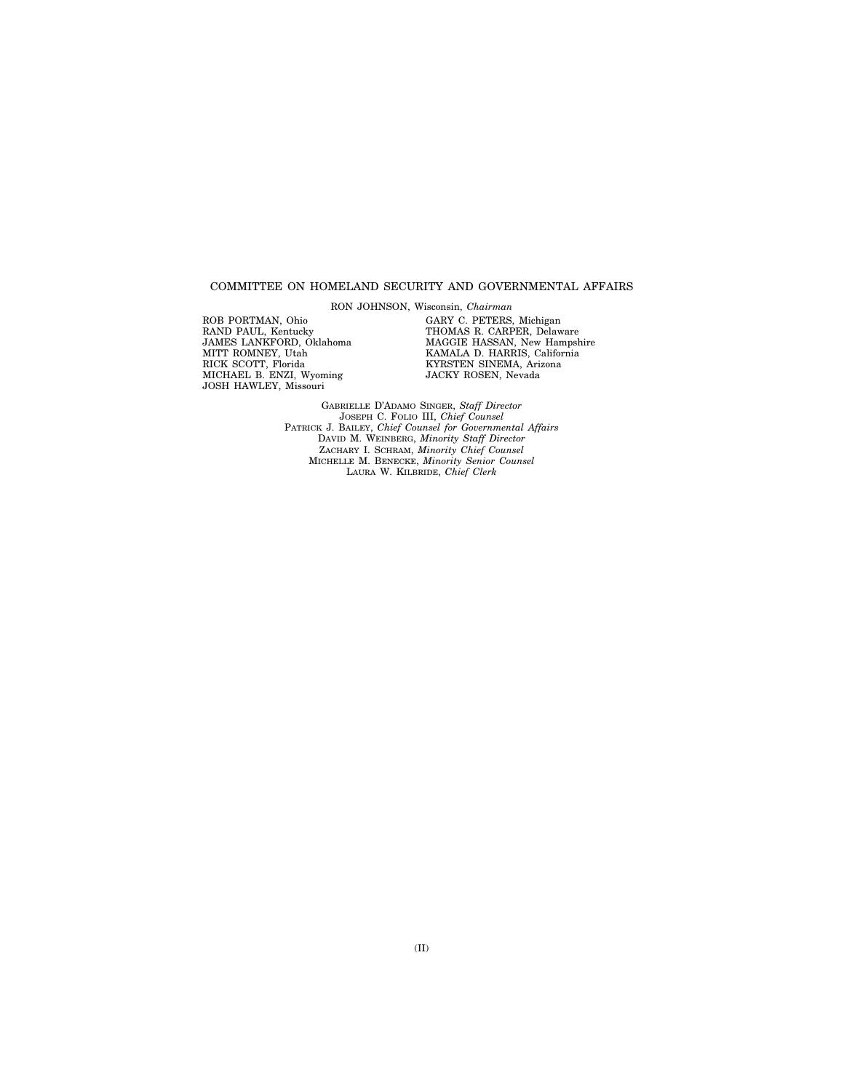#### COMMITTEE ON HOMELAND SECURITY AND GOVERNMENTAL AFFAIRS

RON JOHNSON, Wisconsin, *Chairman* 

ROB PORTMAN, Ohio RAND PAUL, Kentucky JAMES LANKFORD, Oklahoma MITT ROMNEY, Utah RICK SCOTT, Florida MICHAEL B. ENZI, Wyoming JOSH HAWLEY, Missouri

GARY C. PETERS, Michigan THOMAS R. CARPER, Delaware MAGGIE HASSAN, New Hampshire KAMALA D. HARRIS, California KYRSTEN SINEMA, Arizona JACKY ROSEN, Nevada

GABRIELLE D'ADAMO SINGER, *Staff Director*  JOSEPH C. FOLIO III, *Chief Counsel*  PATRICK J. BAILEY, *Chief Counsel for Governmental Affairs*  DAVID M. WEINBERG, *Minority Staff Director*  ZACHARY I. SCHRAM, *Minority Chief Counsel*  MICHELLE M. BENECKE, *Minority Senior Counsel*  LAURA W. KILBRIDE, *Chief Clerk*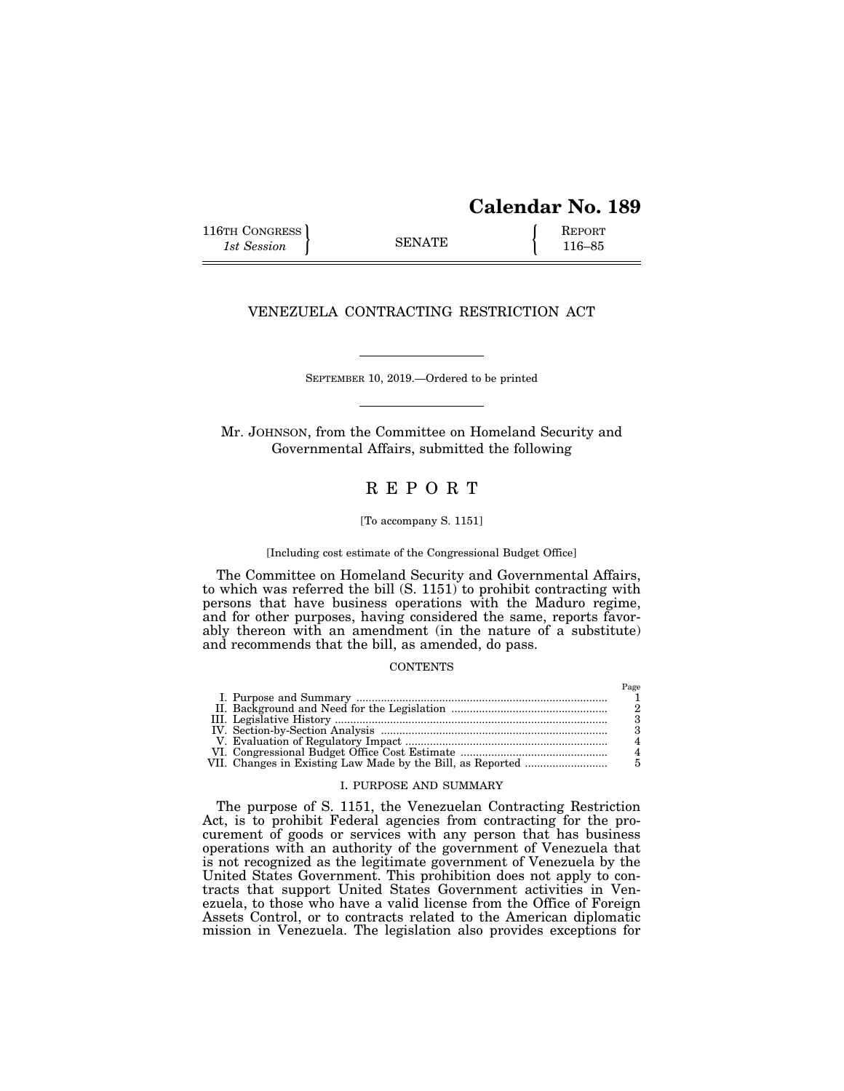## **Calendar No. 189**

116TH CONGRESS REPORT 116-85

#### VENEZUELA CONTRACTING RESTRICTION ACT

SEPTEMBER 10, 2019.—Ordered to be printed

Mr. JOHNSON, from the Committee on Homeland Security and Governmental Affairs, submitted the following

### R E P O R T

[To accompany S. 1151]

[Including cost estimate of the Congressional Budget Office]

The Committee on Homeland Security and Governmental Affairs, to which was referred the bill (S. 1151) to prohibit contracting with persons that have business operations with the Maduro regime, and for other purposes, having considered the same, reports favorably thereon with an amendment (in the nature of a substitute) and recommends that the bill, as amended, do pass.

### **CONTENTS**

#### I. PURPOSE AND SUMMARY

The purpose of S. 1151, the Venezuelan Contracting Restriction Act, is to prohibit Federal agencies from contracting for the procurement of goods or services with any person that has business operations with an authority of the government of Venezuela that is not recognized as the legitimate government of Venezuela by the United States Government. This prohibition does not apply to contracts that support United States Government activities in Venezuela, to those who have a valid license from the Office of Foreign Assets Control, or to contracts related to the American diplomatic mission in Venezuela. The legislation also provides exceptions for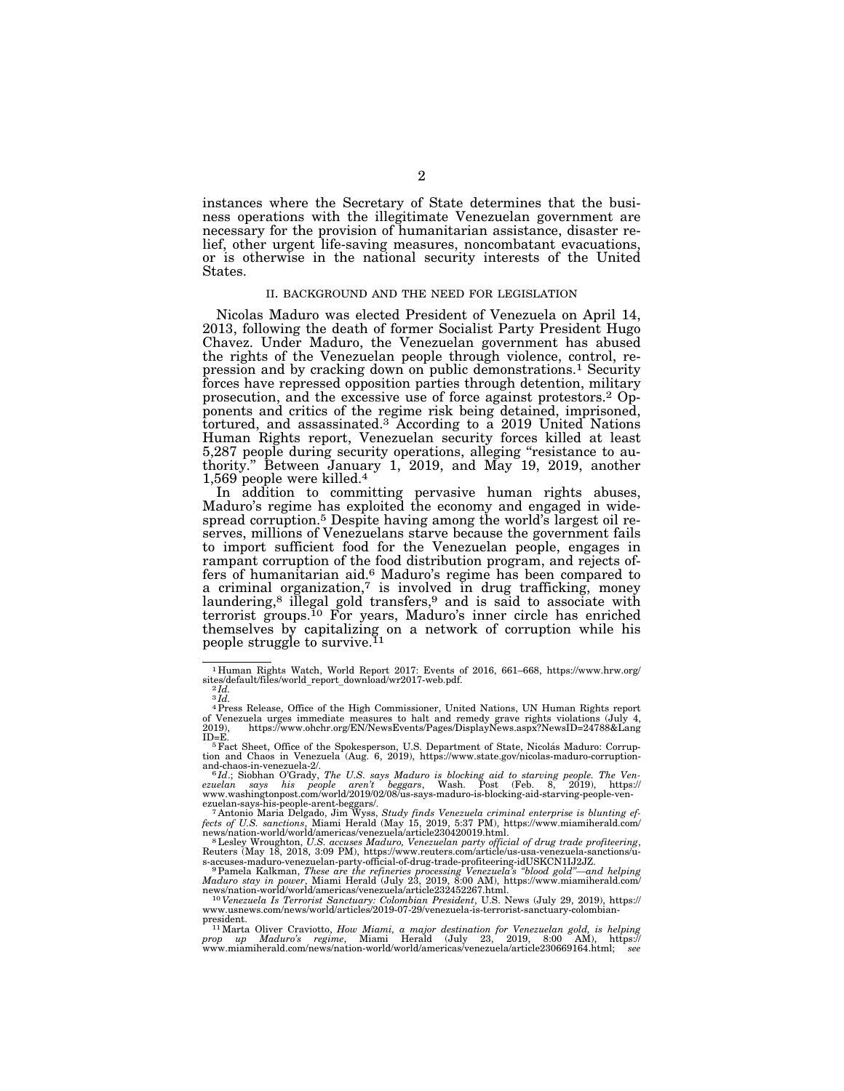instances where the Secretary of State determines that the business operations with the illegitimate Venezuelan government are necessary for the provision of humanitarian assistance, disaster relief, other urgent life-saving measures, noncombatant evacuations, or is otherwise in the national security interests of the United States.

#### II. BACKGROUND AND THE NEED FOR LEGISLATION

Nicolas Maduro was elected President of Venezuela on April 14, 2013, following the death of former Socialist Party President Hugo Chavez. Under Maduro, the Venezuelan government has abused the rights of the Venezuelan people through violence, control, repression and by cracking down on public demonstrations.1 Security forces have repressed opposition parties through detention, military prosecution, and the excessive use of force against protestors.2 Opponents and critics of the regime risk being detained, imprisoned, tortured, and assassinated.3 According to a 2019 United Nations Human Rights report, Venezuelan security forces killed at least 5,287 people during security operations, alleging ''resistance to authority.'' Between January 1, 2019, and May 19, 2019, another 1,569 people were killed.4

In addition to committing pervasive human rights abuses, Maduro's regime has exploited the economy and engaged in widespread corruption.5 Despite having among the world's largest oil reserves, millions of Venezuelans starve because the government fails to import sufficient food for the Venezuelan people, engages in rampant corruption of the food distribution program, and rejects offers of humanitarian aid.<sup>6</sup> Maduro's regime has been compared to a criminal organization,7 is involved in drug trafficking, money laundering,<sup>8</sup> illegal gold transfers,<sup>9</sup> and is said to associate with terrorist groups.10 For years, Maduro's inner circle has enriched themselves by capitalizing on a network of corruption while his people struggle to survive.<sup>11</sup>

<sup>1</sup> Human Rights Watch, World Report 2017: Events of 2016, 661–668, https://www.hrw.org/ sites/default/files/world\_report\_download/wr2017-web.pdf. 2 *Id.* 

 $\overline{3} \overline{1} \overline{d}$ .

<sup>&</sup>lt;sup>4</sup> Press Release, Office of the High Commissioner, United Nations, UN Human Rights report of Venezuela urges immediate measures to halt and remedy grave rights violations (July 4, 2019), https://www.ohchr.org/EN/NewsEvent

ID=E.<br><sup>5</sup>Fact Sheet, Office of the Spokesperson, U.S. Department of State, Nicolás Maduro: Corrup-<br>tion and Chaos in Venezuela (Aug. 6, 2019), https://www.state.gov/nicolas-maduro-corruption-

and-chaos-in-venezuela-2/.<br>
<sup>6</sup>Id.; Siobhan O'Grady, *The U.S. says Maduro is blocking aid to starving people. The Ven-<br>
<sup>6</sup>Id.; Siobhan O'Grady, <i>The U.S. says Maduro is blocking aid to starving people. The Ven-*<br>
ezuelan

news/nation-world/world/americas/venezuela/article230420019.html.<br><sup>8</sup> Lesley Wroughton, U.S. accuses *Maduro, Venezuelan party official of drug trade profiteering,*<br>Reuters (May 18, 2018, 3:09 PM), https://www.reuters.com/

s-accuses-maduro-venezuelan-party-official-of-drug-trade-profiteering-idUSKCN1IJ2JZ.<br>
<sup>9</sup>Pamela Kalkman, *These are the refineries processing Venezuela's "blood gold"—and helping<br>
Maduro stay in power, Miami Herald (July 2* 

president.<br><sup>11</sup> Marta Oliver Craviotto, *How Miami, a major destination for Venezuelan gold, is helping<br>prop up Maduro's regime, Miami Herald (July 23, 2019, 8:00 AM), https://<br>www.miamiherald.com/news/nation-world/world/a*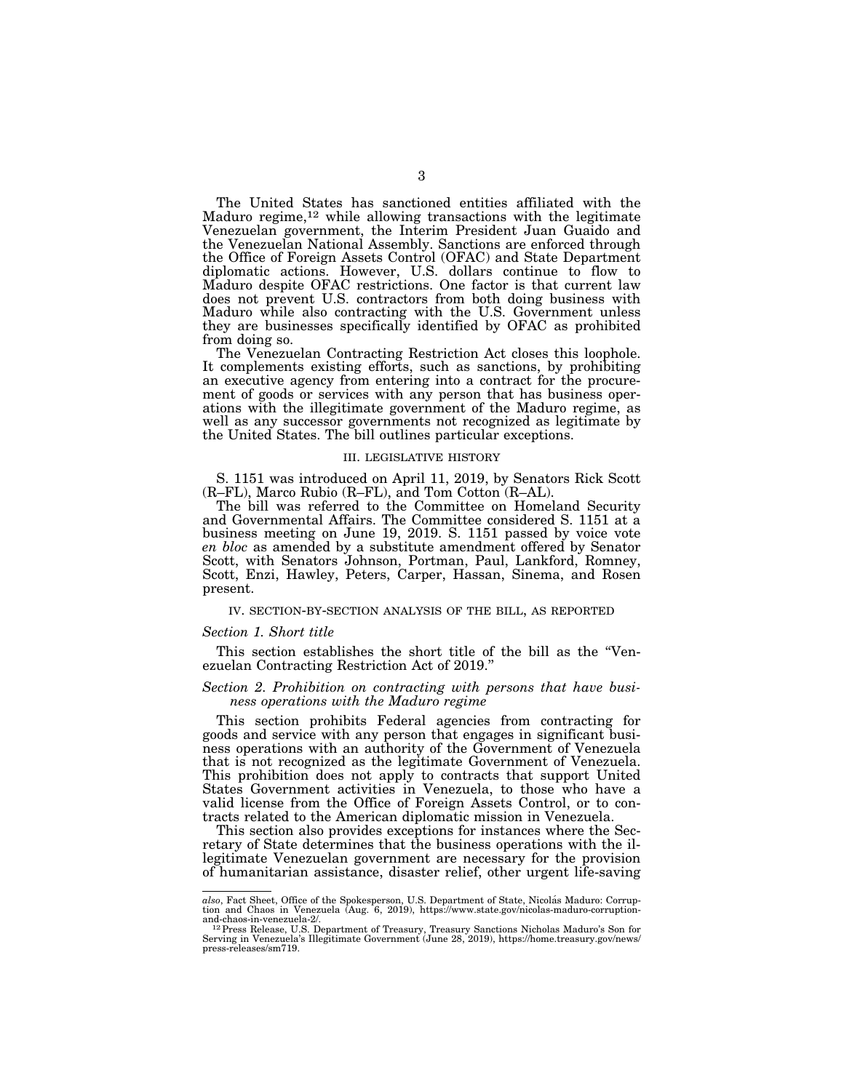The United States has sanctioned entities affiliated with the Maduro regime,<sup>12</sup> while allowing transactions with the legitimate Venezuelan government, the Interim President Juan Guaido and the Venezuelan National Assembly. Sanctions are enforced through the Office of Foreign Assets Control (OFAC) and State Department diplomatic actions. However, U.S. dollars continue to flow to Maduro despite OFAC restrictions. One factor is that current law does not prevent U.S. contractors from both doing business with Maduro while also contracting with the U.S. Government unless they are businesses specifically identified by OFAC as prohibited from doing so.

The Venezuelan Contracting Restriction Act closes this loophole. It complements existing efforts, such as sanctions, by prohibiting an executive agency from entering into a contract for the procurement of goods or services with any person that has business operations with the illegitimate government of the Maduro regime, as well as any successor governments not recognized as legitimate by the United States. The bill outlines particular exceptions.

#### III. LEGISLATIVE HISTORY

S. 1151 was introduced on April 11, 2019, by Senators Rick Scott (R–FL), Marco Rubio (R–FL), and Tom Cotton (R–AL).

The bill was referred to the Committee on Homeland Security and Governmental Affairs. The Committee considered S. 1151 at a business meeting on June 19, 2019. S. 1151 passed by voice vote *en bloc* as amended by a substitute amendment offered by Senator Scott, with Senators Johnson, Portman, Paul, Lankford, Romney, Scott, Enzi, Hawley, Peters, Carper, Hassan, Sinema, and Rosen present.

#### IV. SECTION-BY-SECTION ANALYSIS OF THE BILL, AS REPORTED

#### *Section 1. Short title*

This section establishes the short title of the bill as the "Venezuelan Contracting Restriction Act of 2019.''

#### *Section 2. Prohibition on contracting with persons that have business operations with the Maduro regime*

This section prohibits Federal agencies from contracting for goods and service with any person that engages in significant business operations with an authority of the Government of Venezuela that is not recognized as the legitimate Government of Venezuela. This prohibition does not apply to contracts that support United States Government activities in Venezuela, to those who have a valid license from the Office of Foreign Assets Control, or to contracts related to the American diplomatic mission in Venezuela.

This section also provides exceptions for instances where the Secretary of State determines that the business operations with the illegitimate Venezuelan government are necessary for the provision of humanitarian assistance, disaster relief, other urgent life-saving

also, Fact Sheet, Office of the Spokesperson, U.S. Department of State, Nicolás Maduro: Corrup-<br>tion and Chaos in Venezuela (Aug. 6, 2019), https://www.state.gov/nicolas-maduro-corruption-

and-chaos-in-venezuela-2/.<br><sup>12</sup> Press Release, U.S. Department of Treasury, Treasury Sanctions Nicholas Maduro's Son for<br>Serving in Venezuela's Illegitimate Government (June 28, 2019), https://home.treasury.gov/news/ press-releases/sm719.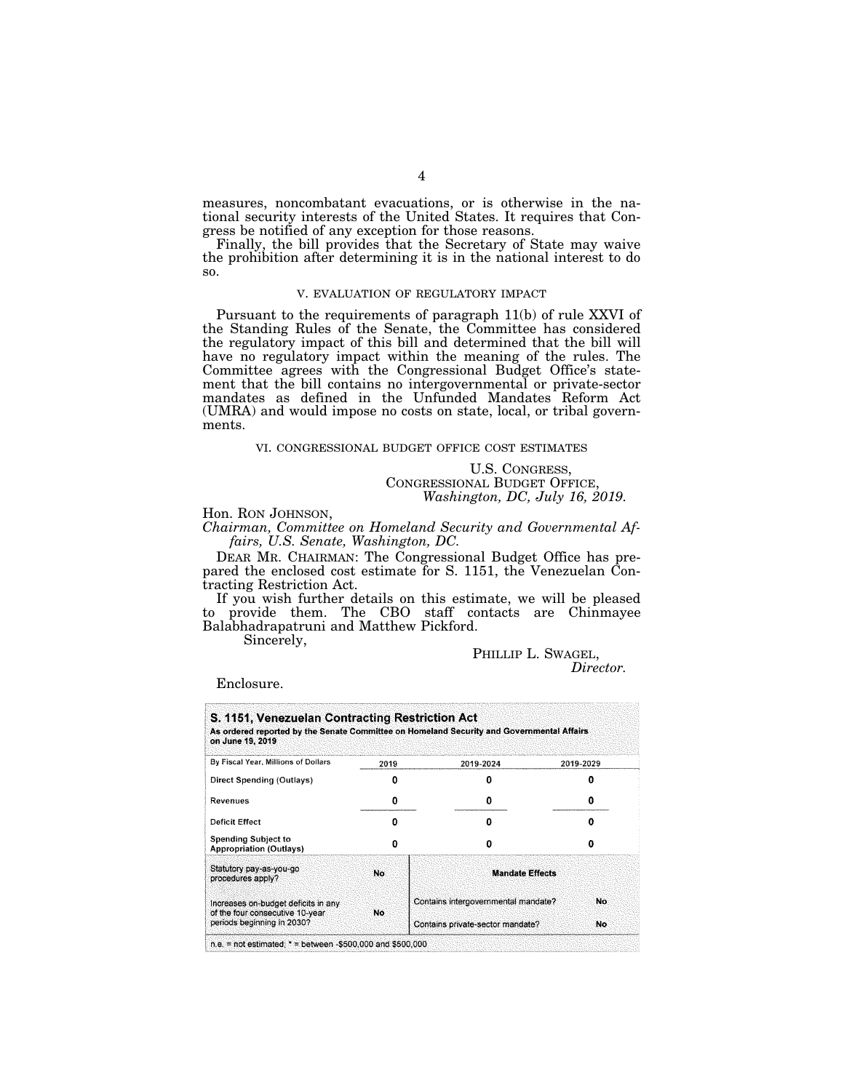measures, noncombatant evacuations, or is otherwise in the national security interests of the United States. It requires that Congress be notified of any exception for those reasons.

Finally, the bill provides that the Secretary of State may waive the prohibition after determining it is in the national interest to do so.

#### V. EVALUATION OF REGULATORY IMPACT

Pursuant to the requirements of paragraph 11(b) of rule XXVI of the Standing Rules of the Senate, the Committee has considered the regulatory impact of this bill and determined that the bill will have no regulatory impact within the meaning of the rules. The Committee agrees with the Congressional Budget Office's statement that the bill contains no intergovernmental or private-sector mandates as defined in the Unfunded Mandates Reform Act (UMRA) and would impose no costs on state, local, or tribal governments.

#### VI. CONGRESSIONAL BUDGET OFFICE COST ESTIMATES

U.S. CONGRESS, CONGRESSIONAL BUDGET OFFICE, *Washington, DC, July 16, 2019.* 

Hon. RON JOHNSON, *Chairman, Committee on Homeland Security and Governmental Affairs, U.S. Senate, Washington, DC.* 

DEAR MR. CHAIRMAN: The Congressional Budget Office has prepared the enclosed cost estimate for S. 1151, the Venezuelan Contracting Restriction Act.

If you wish further details on this estimate, we will be pleased to provide them. The CBO staff contacts are Chinmayee Balabhadrapatruni and Matthew Pickford.

Sincerely,

#### PHILLIP L. SWAGEL,

*Director.* 

Enclosure.

| As ordered reported by the Senate Committee on Homeland Security and Governmental Affairs<br>on June 19, 2019 |      |                                     |           |
|---------------------------------------------------------------------------------------------------------------|------|-------------------------------------|-----------|
| By Fiscal Year, Millions of Dollars                                                                           | 2019 | 2019-2024                           | 2019-2029 |
| Direct Spending (Outlays)                                                                                     |      |                                     |           |
| Revenues                                                                                                      | o    | o                                   | o         |
| Deficit Effect                                                                                                | Ω    | 0                                   | o         |
| <b>Spending Subject to</b><br><b>Appropriation (Outlays)</b>                                                  | n    | Ω                                   | 0         |
| Statutory pay-as-you-go<br>procedures apply?                                                                  | No   | <b>Mandate Effects</b>              |           |
| Increases on-budget deficits in any<br>of the four consecutive 10-year.                                       | No   | Contains intergovernmental mandate? | No        |
| periods beginning in 2030?                                                                                    |      | Contains private-sector mandate?    | No        |